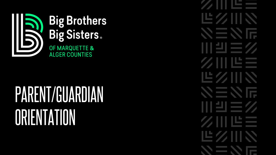

## PARENT/GUARDIAN **ORIENTATION**

世久川、 NENF 川当三么 ØIIILEE 世久川、 入三人后 川当三/ WEZ LE Z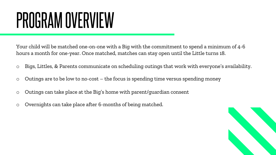## PROGRAM OVERVIEW

Your child will be matched one-on-one with a Big with the commitment to spend a minimum of 4-6 hours a month for one-year. Once matched, matches can stay open until the Little turns 18.

- o Bigs, Littles, & Parents communicate on scheduling outings that work with everyone's availability.
- o Outings are to be low to no-cost the focus is spending time versus spending money
- o Outings can take place at the Big's home with parent/guardian consent
- o Overnights can take place after 6-months of being matched.

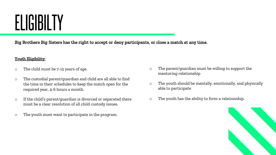## ELIGIBILTY

Big Brothers Big Sisters has the right to accept or deny participants, or close a match at any time.

#### Youth Eligibility:

- o The child must be 7-15 years of age.
- o The custodial parent/guardian and child are all able to find the time in their schedules to keep the match open for the required year, 4-6 hours a month.
- o If the child's parent/guardian is divorced or separated there must be a clear resolution of all child custody issues.
- o The youth must want to participate in the program.
- o The parent/guardian must be willing to support the mentoring relationship
- o The youth should be mentally, emotionally, and physically able to participate
- o The youth has the ability to form a relationship.

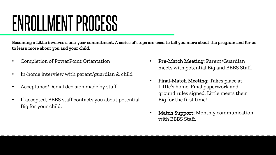## ENROLLMENT PROCESS

Becoming a Little involves a one-year commitment. A series of steps are used to tell you more about the program and for us to learn more about you and your child.

- Completion of PowerPoint Orientation
- In-home interview with parent/guardian & child
- Acceptance/Denial decision made by staff
- If accepted, BBBS staff contacts you about potential Big for your child.
- Pre-Match Meeting: Parent/Guardian meets with potential Big and BBBS Staff.
- Final-Match Meeting: Takes place at Little's home. Final paperwork and ground rules signed. Little meets their Big for the first time!
- Match Support: Monthly communication with BBBS Staff.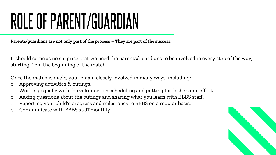## ROLE OF PARENT/GUARDIAN

Parents/guardians are not only part of the process – They are part of the success.

It should come as no surprise that we need the parents/guardians to be involved in every step of the way, starting from the beginning of the match.

Once the match is made, you remain closely involved in many ways, including:

- o Approving activities & outings.
- o Working equally with the volunteer on scheduling and putting forth the same effort.
- o Asking questions about the outings and sharing what you learn with BBBS staff.
- o Reporting your child's progress and milestones to BBBS on a regular basis.
- o Communicate with BBBS staff monthly.

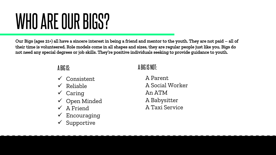# WHO ARE OUR BIGS?

Our Bigs (ages 21+) all have a sincere interest in being a friend and mentor to the youth. They are not paid – all of their time is volunteered. Role models come in all shapes and sizes, they are regular people just like you. Bigs do not need any special degrees or job skills. They're positive individuals seeking to provide guidance to youth.

#### A BIG IS:

- $\checkmark$  Consistent
- $\checkmark$  Reliable
- $\checkmark$  Caring
- $\checkmark$  Open Minded
- $\checkmark$  A Friend
- Encouraging
- Supportive

### A BIG IS NOT:

A Parent A Social Worker An ATM A Babysitter A Taxi Service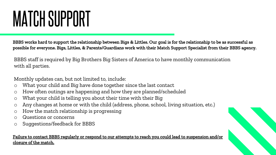# MATCH SUPPORT

BBBS works hard to support the relationship between Bigs & Littles. Our goal is for the relationship to be as successful as possible for everyone. Bigs, Littles, & Parents/Guardians work with their Match Support Specialist from their BBBS agency.

BBBS staff is required by Big Brothers Big Sisters of America to have monthly communication with all parties.

Monthly updates can, but not limited to, include:

- o What your child and Big have done together since the last contact
- o How often outings are happening and how they are planned/scheduled
- o What your child is telling you about their time with their Big
- o Any changes at home or with the child (address, phone, school, living situation, etc.)
- o How the match relationship is progressing
- o Questions or concerns
- o Suggestions/feedback for BBBS

#### Failure to contact BBBS regularly or respond to our attempts to reach you could lead to suspension and/or closure of the match.

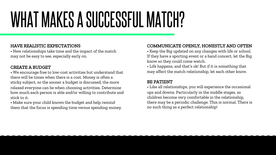# WHAT MAKES A SUCCESSFUL MATCH?

#### HAVE REALISTIC EXPECTATIONS

• New relationships take time and the impact of the match may not be easy to see, especially early on.

#### CREATE A BUDGET

• We encourage free to low-cost activities but understand that there will be times when there is a cost. Money is often a sticky subject, so the sooner a budget is discussed, the more relaxed everyone can be when choosing activities. Determine how much each person is able and/or willing to contribute and stick to it.

• Make sure your child knows the budget and help remind them that the focus is spending time versus spending money.

#### COMMUNICATE OPENLY, HONESTLY AND OFTEN

• Keep the Big updated on any changes with life or school. If they have a sporting event or a band concert, let the Big know so they could come watch.

• Life happens, and that's ok! But if it is something that may affect the match relationship, let each other know.

#### BE PATIENT

• Like all relationships, you will experience the occasional ups and downs. Particularly in the middle stages, as children become very comfortable in the relationship, there may be a periodic challenge. This is normal. There is no such thing as a perfect relationship!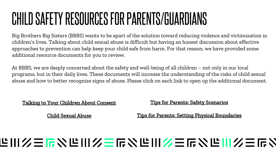### CHILD SAFETY RESOURCES FOR PARENTS/GUARDIANS

Big Brothers Big Sisters (BBBS) wants to be apart of the solution toward reducing violence and victimization in children's lives. Talking about child sexual abuse is difficult but having an honest discussion about effective approaches to prevention can help keep your child safe from harm. For that reason, we have provided some additional resource documents for you to review.

At BBBS, we are deeply concerned about the safety and well-being of all children – not only in our local programs, but in their daily lives. These documents will increase the understanding of the risks of child sexual abuse and how to better recognize signs of abuse. Please click on each link to open up the additional document.

#### [Talking to Your Children About Consent](https://www.safesecurekids.org/themes/custom/safe_secure_kids/files/SSK-Handout.pdf)

[Tips for Parents: Safety Scenarios](https://www.kidsmartz.org/~/media/KidSmartz/ResourceDocuments/KidSmartz_Safety_Scenarios.pdf)

[Child Sexual Abuse](https://www.stopitnow.org/sites/default/files/documents/files/do_children_sexually_abuse_other_children.pdf)

[Tips for Parents: Setting Physical Boundaries](https://www.kidsmartz.org/~/media/KidSmartz/ResourceDocuments/KidSmartz_Setting_Physical_Boundaries.pdf)

### 些川乡三后公世川乡三后公世川乡三后公世川乡三后?